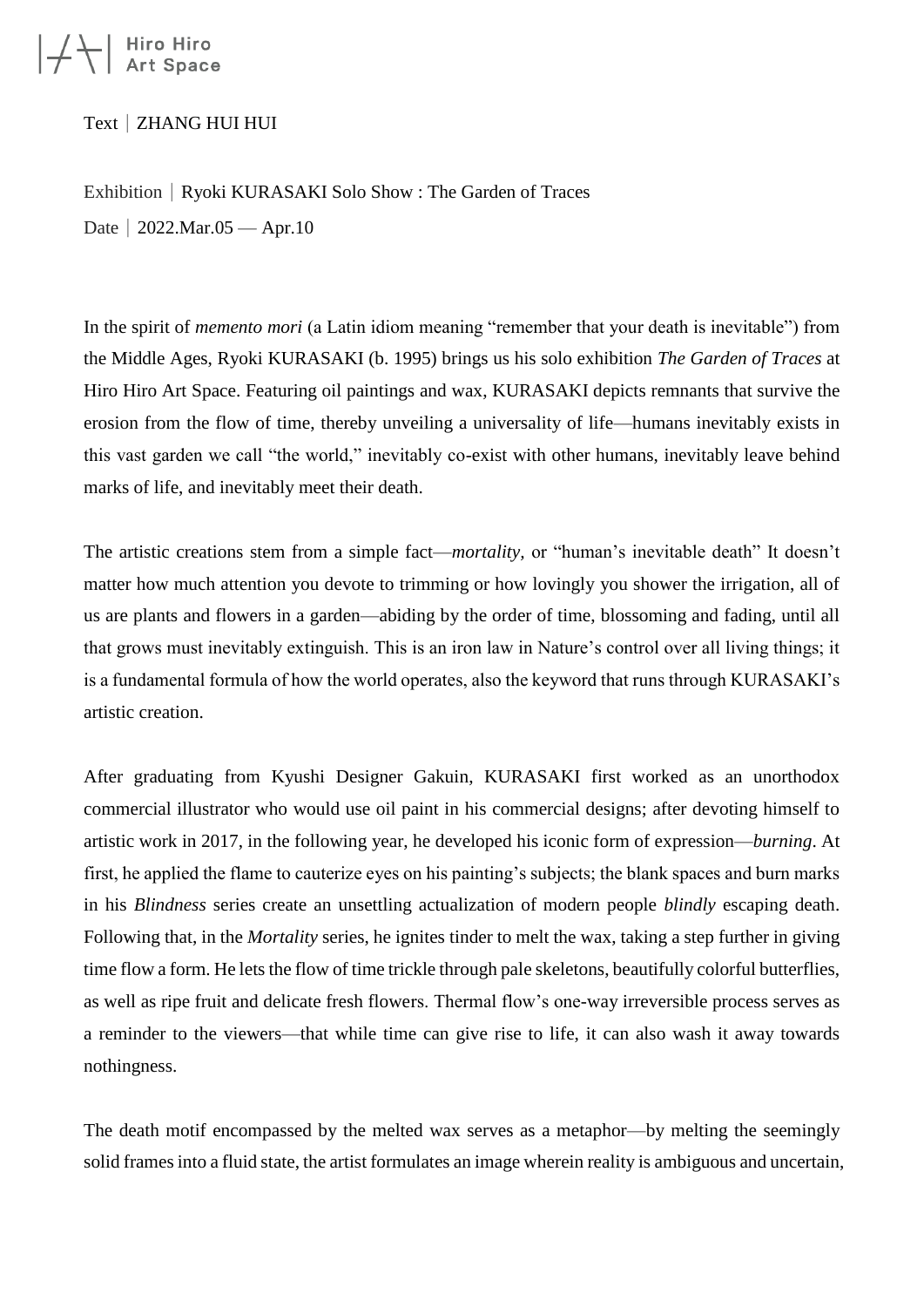## $|\neq$  Hiro Hiro<br>Art Space

Text|ZHANG HUI HUI

Exhibition | Ryoki KURASAKI Solo Show : The Garden of Traces Date | 2022.Mar.05 — Apr.10

In the spirit of *memento mori* (a Latin idiom meaning "remember that your death is inevitable") from the Middle Ages, Ryoki KURASAKI (b. 1995) brings us his solo exhibition *The Garden of Traces* at Hiro Hiro Art Space. Featuring oil paintings and wax, KURASAKI depicts remnants that survive the erosion from the flow of time, thereby unveiling a universality of life—humans inevitably exists in this vast garden we call "the world," inevitably co-exist with other humans, inevitably leave behind marks of life, and inevitably meet their death.

The artistic creations stem from a simple fact—*mortality,* or "human's inevitable death" It doesn't matter how much attention you devote to trimming or how lovingly you shower the irrigation, all of us are plants and flowers in a garden—abiding by the order of time, blossoming and fading, until all that grows must inevitably extinguish. This is an iron law in Nature's control over all living things; it is a fundamental formula of how the world operates, also the keyword that runs through KURASAKI's artistic creation.

After graduating from Kyushi Designer Gakuin, KURASAKI first worked as an unorthodox commercial illustrator who would use oil paint in his commercial designs; after devoting himself to artistic work in 2017, in the following year, he developed his iconic form of expression—*burning*. At first, he applied the flame to cauterize eyes on his painting's subjects; the blank spaces and burn marks in his *Blindness* series create an unsettling actualization of modern people *blindly* escaping death. Following that, in the *Mortality* series, he ignites tinder to melt the wax, taking a step further in giving time flow a form. He lets the flow of time trickle through pale skeletons, beautifully colorful butterflies, as well as ripe fruit and delicate fresh flowers. Thermal flow's one-way irreversible process serves as a reminder to the viewers—that while time can give rise to life, it can also wash it away towards nothingness.

The death motif encompassed by the melted wax serves as a metaphor—by melting the seemingly solid frames into a fluid state, the artist formulates an image wherein reality is ambiguous and uncertain,